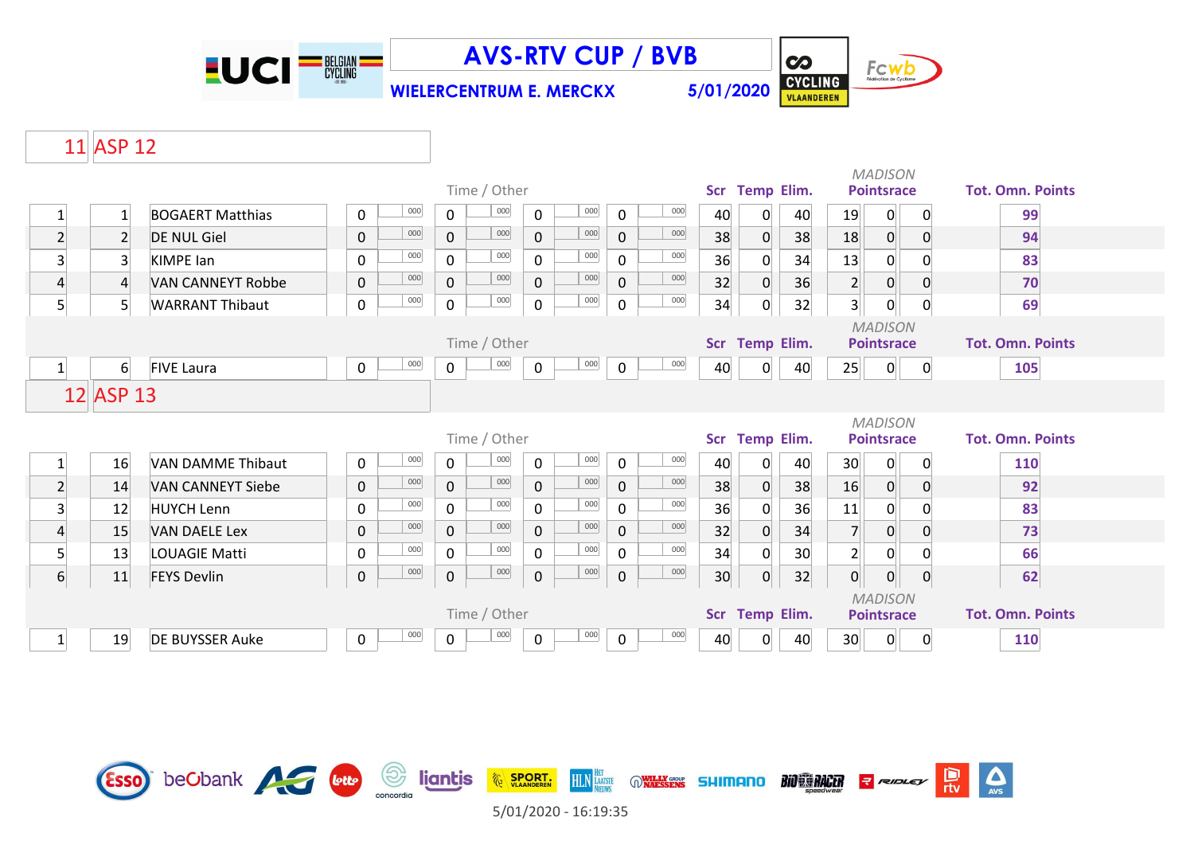

Esso beCbank A Guy

**AVS-RTV CUP / BVB**

**WIELERCENTRUM E. MERCKX 5/01/2020**



 $\overline{\mathbf{c}}$ 

## 11 ASP 12

|                         |                  |                          | Time / Other |     |                |              |             |         |             |         |                 | <b>Temp Elim.</b><br><b>Scr</b> |                   |                 | <b>MADISON</b><br><b>Pointsrace</b> |                  | <b>Tot. Omn. Points</b> |  |
|-------------------------|------------------|--------------------------|--------------|-----|----------------|--------------|-------------|---------|-------------|---------|-----------------|---------------------------------|-------------------|-----------------|-------------------------------------|------------------|-------------------------|--|
| 1                       | 1                | <b>BOGAERT Matthias</b>  | 0            | 000 | 0              | 000          | 0           | $000\,$ | 0           | 000     | 40              | 0                               | 40                | 19              | $\overline{0}$                      | $\overline{0}$   | 99                      |  |
| $\overline{2}$          | $\overline{2}$   | <b>DE NUL Giel</b>       | $\pmb{0}$    | 000 | $\mathbf 0$    | 000          | $\mathbf 0$ | 000     | $\pmb{0}$   | 000     | 38              | 0                               | 38                | 18              | $\overline{0}$                      | $\overline{0}$   | 94                      |  |
| $\overline{\mathbf{3}}$ | $\overline{3}$   | <b>KIMPE lan</b>         | $\mathbf 0$  | 000 | $\overline{0}$ | 000          | $\Omega$    | 000     | 0           | 000     | 36              | 0                               | 34                | 13              | $\overline{0}$                      |                  | 83                      |  |
| $\overline{4}$          | $\overline{4}$   | <b>VAN CANNEYT Robbe</b> | $\pmb{0}$    | 000 | $\mathbf 0$    | 000          | $\mathbf 0$ | 000     | $\mathbf 0$ | 000     | 32              | 0                               | 36                | 2               | $\overline{0}$                      |                  | 70                      |  |
| 5 <sup>1</sup>          | 5 <sup>1</sup>   | <b>WARRANT Thibaut</b>   | $\pmb{0}$    | 000 | 0              | 000          | 0           | 000     | 0           | $000\,$ | 34              | 0                               | 32                | 3               | $\overline{0}$                      | 0                | 69                      |  |
|                         |                  |                          | Time / Other |     |                |              |             |         |             |         |                 | <b>Temp Elim.</b><br><b>Scr</b> |                   |                 | <b>MADISON</b><br><b>Pointsrace</b> |                  | <b>Tot. Omn. Points</b> |  |
| $1\vert$                | $6 \overline{6}$ | <b>FIVE Laura</b>        | 0            | 000 | $\mathbf 0$    | 000          | 0           | $000\,$ | 0           | 000     | 40              | $\mathbf{0}$                    | 40                | 25              | $\overline{0}$                      | $\mathbf 0$      | 105                     |  |
| 12 ASP 13               |                  |                          |              |     |                |              |             |         |             |         |                 |                                 |                   |                 |                                     |                  |                         |  |
|                         |                  |                          |              |     |                |              |             |         |             |         |                 |                                 |                   |                 |                                     |                  |                         |  |
|                         |                  |                          |              |     |                | Time / Other |             |         |             |         | Scr             |                                 | <b>Temp Elim.</b> |                 | <b>MADISON</b><br><b>Pointsrace</b> |                  | <b>Tot. Omn. Points</b> |  |
|                         | 16               | <b>VAN DAMME Thibaut</b> | 0            | 000 | 0              | 000          | $\mathbf 0$ | 000     | 0           | 000     | 40              | 0                               | 40                | 30 <sup>°</sup> | $\mathbf{O}$                        | $\Omega$         | 110                     |  |
| $\overline{2}$          | 14               | <b>VAN CANNEYT Siebe</b> | $\mathbf 0$  | 000 | $\mathbf 0$    | 000          | $\mathbf 0$ | 000     | $\pmb{0}$   | 000     | 38              | 0                               | 38                | 16              | $\overline{0}$                      | $\overline{0}$   | 92                      |  |
| $\overline{\mathbf{3}}$ | 12               | <b>HUYCH Lenn</b>        | $\pmb{0}$    | 000 | 0              | 000          | 0           | 000     | 0           | 000     | 36              | 0                               | 36                | 11              | 0                                   |                  | 83                      |  |
| $\overline{4}$          | 15               | <b>VAN DAELE Lex</b>     | $\pmb{0}$    | 000 | $\mathbf 0$    | 000          | $\mathbf 0$ | 000     | $\mathbf 0$ | 000     | 32              | 0                               | 34                | $\overline{7}$  | $\pmb{0}$                           |                  | 73                      |  |
| 5 <sup>1</sup>          | 13               | <b>LOUAGIE Matti</b>     | 0            | 000 | 0              | 000          | 0           | 000     | 0           | 000     | 34              | 0                               | 30                | 2 <sup>1</sup>  | 0                                   | $\Omega$         | 66                      |  |
| $6 \overline{6}$        | 11               | <b>FEYS Devlin</b>       | $\pmb{0}$    | 000 | 0              | 000          | $\mathbf 0$ | 000     | 0           | 000     | 30 <sub>1</sub> | $\overline{0}$                  | 32                | 0               | $\boldsymbol{0}$                    | $\boldsymbol{0}$ | 62                      |  |
|                         |                  |                          |              |     |                | Time / Other |             |         |             |         | <b>Scr</b>      |                                 | <b>Temp Elim.</b> |                 | <b>MADISON</b><br><b>Pointsrace</b> |                  | <b>Tot. Omn. Points</b> |  |



**HLN HET ONLINE SELLIMPING** 

**BIO RE RACER** 

 $\sum_{\text{AVS}}$ 

믮

**RIDLEY** 

**EXAMPLE SPORT.**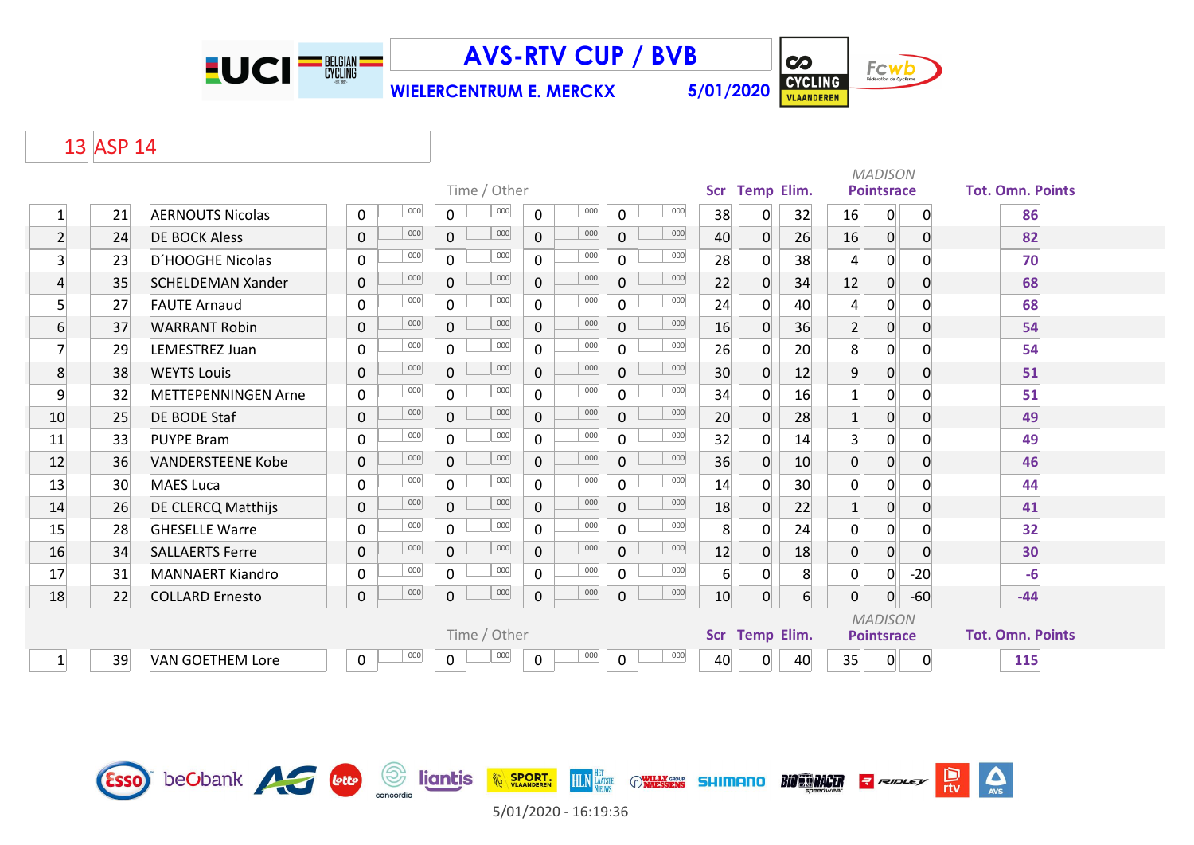

**AVS-RTV CUP / BVB**

**WIELERCENTRUM E. MERCKX 5/01/2020**



## 13 ASP 14

|                 |    |                            |              |     | Time / Other          |             |     |                  | <b>Scr</b>        | <b>Temp Elim.</b> |                |                   | <b>MADISON</b><br><b>Pointsrace</b> |                         | <b>Tot. Omn. Points</b> |       |
|-----------------|----|----------------------------|--------------|-----|-----------------------|-------------|-----|------------------|-------------------|-------------------|----------------|-------------------|-------------------------------------|-------------------------|-------------------------|-------|
|                 |    |                            |              |     |                       |             |     |                  |                   |                   |                |                   |                                     |                         |                         |       |
| $\mathbf{1}$    | 21 | <b>AERNOUTS Nicolas</b>    | $\mathbf{0}$ | 000 | 000<br>$\Omega$       | $\mathbf 0$ | 000 | $\mathbf 0$      | 000               | 38                | $\Omega$       | 32                | 16                                  | 0                       | $\mathbf{0}$            | 86    |
| $\overline{2}$  | 24 | <b>DE BOCK Aless</b>       | $\mathbf 0$  | 000 | 000<br>$\mathbf 0$    | $\mathbf 0$ | 000 | $\overline{0}$   | 000               | 40                | $\overline{0}$ | 26                | 16                                  | $\overline{0}$          | $\mathbf 0$             | 82    |
| 3 <sup>1</sup>  | 23 | D'HOOGHE Nicolas           | $\mathbf 0$  | 000 | 000<br>$\mathbf 0$    | $\mathbf 0$ | 000 | $\mathbf 0$      | 000               | 28                | 0              | 38                | $\overline{4}$                      | 0                       | 0                       | 70    |
| 4               | 35 | <b>SCHELDEMAN Xander</b>   | $\mathbf 0$  | 000 | 000<br>$\mathbf{0}$   | $\mathbf 0$ | 000 | $\mathbf 0$      | 000               | 22                | $\Omega$       | 34                | 12                                  | $\overline{0}$          | $\Omega$                | 68    |
| 5               | 27 | <b>FAUTE Arnaud</b>        | $\mathbf 0$  | 000 | 000<br>$\overline{0}$ | $\mathbf 0$ | 000 | $\mathbf 0$      | 000               | 24                | $\Omega$       | 40                | $\overline{4}$                      | $\mathsf{O}$            |                         | 68    |
| $6 \overline{}$ | 37 | <b>WARRANT Robin</b>       | $\mathbf 0$  | 000 | 000<br>$\Omega$       | $\mathbf 0$ | 000 | $\mathbf 0$      | 000               | 16                | $\overline{0}$ | 36                | $\overline{2}$                      | $\overline{0}$          | $\Omega$                | 54    |
| 7               | 29 | LEMESTREZ Juan             | $\mathbf 0$  | 000 | 000<br>$\mathbf{0}$   | $\mathbf 0$ | 000 | $\mathbf 0$      | 000               | 26                | $\overline{0}$ | 20                | 8                                   | $\mathsf{O}$            | $\Omega$                | 54    |
| 8               | 38 | <b>WEYTS Louis</b>         | $\mathbf{0}$ | 000 | 000<br>$\Omega$       | $\mathbf 0$ | 000 | $\overline{0}$   | 000               | 30                | $\overline{0}$ | 12                | $\overline{9}$                      | $\overline{0}$          | $\mathbf 0$             | 51    |
| 9               | 32 | <b>METTEPENNINGEN Arne</b> | $\mathsf{O}$ | 000 | 000<br>0              | 0           | 000 | $\mathbf 0$      | 000               | 34                | 0              | 16                | 1                                   | 0                       | $\Omega$                | 51    |
| 10              | 25 | <b>DE BODE Staf</b>        | $\mathbf 0$  | 000 | 000<br>$\mathbf{0}$   | $\mathbf 0$ | 000 | $\mathbf 0$      | 000               | 20                | $\overline{0}$ | 28                | $\mathbf{1}$                        | $\overline{0}$          | $\mathbf{0}$            | 49    |
| 11              | 33 | <b>PUYPE Bram</b>          | $\mathbf 0$  | 000 | 000<br>$\Omega$       | $\Omega$    | 000 | $\Omega$         | 000               | 32                | $\mathbf{0}$   | 14                | $\overline{3}$                      | $\overline{0}$          | $\Omega$                | 49    |
| 12              | 36 | <b>VANDERSTEENE Kobe</b>   | $\mathbf 0$  | 000 | 000<br>$\Omega$       | $\mathbf 0$ | 000 | $\mathbf 0$      | 000               | 36                | $\overline{0}$ | 10                | $\mathbf 0$                         | $\overline{0}$          | $\Omega$                | 46    |
| 13              | 30 | <b>MAES Luca</b>           | $\mathbf 0$  | 000 | 000<br>0              | $\mathbf 0$ | 000 | $\mathbf 0$      | 000               | 14                | 0              | 30                | $\mathbf 0$                         | 0                       | $\Omega$                | 44    |
| 14              | 26 | <b>DE CLERCQ Matthijs</b>  | $\mathbf 0$  | 000 | 000<br>$\mathbf{0}$   | $\mathbf 0$ | 000 | $\mathbf 0$      | 000               | 18                | $\overline{0}$ | 22                | 1                                   | $\overline{0}$          | $\Omega$                | 41    |
| 15              | 28 | <b>GHESELLE Warre</b>      | $\mathbf 0$  | 000 | 000<br>0              | $\mathbf 0$ | 000 | $\mathbf 0$      | 000               | 8                 | $\Omega$       | 24                | 0                                   | 0                       | $\Omega$                | 32    |
| 16              | 34 | <b>SALLAERTS Ferre</b>     | $\mathbf 0$  | 000 | 000<br>0              | $\mathbf 0$ | 000 | $\mathbf 0$      | 000               | 12                | $\mathbf 0$    | 18                | $\mathbf 0$                         | $\overline{0}$          | $\Omega$                | 30    |
| 17              | 31 | <b>MANNAERT Kiandro</b>    | $\mathbf 0$  | 000 | 000<br>$\mathbf 0$    | $\mathbf 0$ | 000 | $\mathbf 0$      | 000               | $6 \overline{6}$  | $\mathbf 0$    | 8                 | 0                                   | 0                       | $-20$                   | $-6$  |
| 18              | 22 | <b>COLLARD Ernesto</b>     | 0            | 000 | 000<br>0              | $\pmb{0}$   | 000 | $\boldsymbol{0}$ | 000               | 10                | $\overline{0}$ | $6 \vert$         | $\overline{0}$                      | $\overline{0}$          | $-60$                   | $-44$ |
|                 |    |                            |              |     |                       |             |     |                  |                   |                   |                |                   |                                     | <b>MADISON</b>          |                         |       |
|                 |    |                            |              |     | Time / Other          |             |     | <b>Scr</b>       | <b>Temp Elim.</b> |                   |                | <b>Pointsrace</b> |                                     | <b>Tot. Omn. Points</b> |                         |       |
| $\mathbf{1}$    | 39 | <b>VAN GOETHEM Lore</b>    | 0            | 000 | 000<br>$\mathbf 0$    | 0           | 000 | $\mathbf 0$      | 000               | 40                | $\Omega$       | 40                | 35                                  | 0                       | 0                       | 115   |